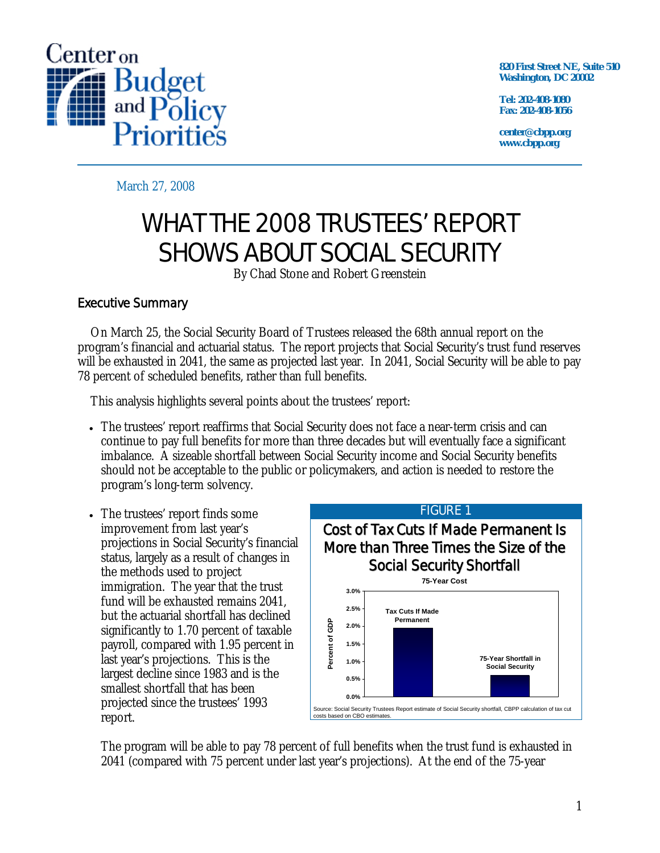

**820 First Street NE, Suite 510 Washington, DC 20002** 

**Tel: 202-408-1080 Fax: 202-408-1056** 

**center@cbpp.org www.cbpp.org** 

March 27, 2008

# WHAT THE 2008 TRUSTEES' REPORT SHOWS ABOUT SOCIAL SECURITY

By Chad Stone and Robert Greenstein

# Executive Summary

On March 25, the Social Security Board of Trustees released the 68th annual report on the program's financial and actuarial status. The report projects that Social Security's trust fund reserves will be exhausted in 2041, the same as projected last year. In 2041, Social Security will be able to pay 78 percent of scheduled benefits, rather than full benefits.

This analysis highlights several points about the trustees' report:

- The trustees' report reaffirms that Social Security does not face a near-term crisis and can continue to pay full benefits for more than three decades but will eventually face a significant imbalance. A sizeable shortfall between Social Security income and Social Security benefits should not be acceptable to the public or policymakers, and action is needed to restore the program's long-term solvency.
- The trustees' report finds some improvement from last year's projections in Social Security's financial status, largely as a result of changes in the methods used to project immigration. The year that the trust fund will be exhausted remains 2041, but the actuarial shortfall has declined significantly to 1.70 percent of taxable payroll, compared with 1.95 percent in last year's projections. This is the largest decline since 1983 and is the smallest shortfall that has been projected since the trustees' 1993 report.



The program will be able to pay 78 percent of full benefits when the trust fund is exhausted in 2041 (compared with 75 percent under last year's projections). At the end of the 75-year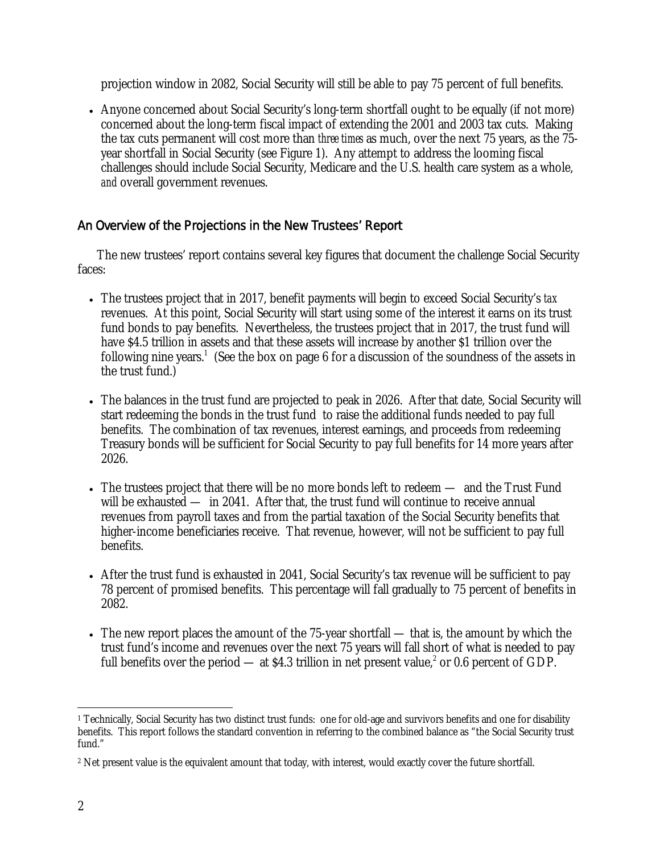projection window in 2082, Social Security will still be able to pay 75 percent of full benefits.

• Anyone concerned about Social Security's long-term shortfall ought to be equally (if not more) concerned about the long-term fiscal impact of extending the 2001 and 2003 tax cuts. Making the tax cuts permanent will cost more than *three times* as much, over the next 75 years, as the 75 year shortfall in Social Security (see Figure 1). Any attempt to address the looming fiscal challenges should include Social Security, Medicare and the U.S. health care system as a whole, *and* overall government revenues.

# An Overview of the Projections in the New Trustees' Report

The new trustees' report contains several key figures that document the challenge Social Security faces:

- The trustees project that in 2017, benefit payments will begin to exceed Social Security's *tax* revenues. At this point, Social Security will start using some of the interest it earns on its trust fund bonds to pay benefits. Nevertheless, the trustees project that in 2017, the trust fund will have \$4.5 trillion in assets and that these assets will increase by another \$1 trillion over the following nine years.<sup>1</sup> (See the box on page 6 for a discussion of the soundness of the assets in the trust fund.)
- The balances in the trust fund are projected to peak in 2026. After that date, Social Security will start redeeming the bonds in the trust fund to raise the additional funds needed to pay full benefits. The combination of tax revenues, interest earnings, and proceeds from redeeming Treasury bonds will be sufficient for Social Security to pay full benefits for 14 more years after 2026.
- The trustees project that there will be no more bonds left to redeem and the Trust Fund will be exhausted — in 2041. After that, the trust fund will continue to receive annual revenues from payroll taxes and from the partial taxation of the Social Security benefits that higher-income beneficiaries receive. That revenue, however, will not be sufficient to pay full benefits.
- After the trust fund is exhausted in 2041, Social Security's tax revenue will be sufficient to pay 78 percent of promised benefits. This percentage will fall gradually to 75 percent of benefits in 2082.
- The new report places the amount of the 75-year shortfall that is, the amount by which the trust fund's income and revenues over the next 75 years will fall short of what is needed to pay full benefits over the period — at \$4.3 trillion in net present value,<sup>2</sup> or 0.6 percent of GDP.

<sup>-</sup><sup>1</sup> Technically, Social Security has two distinct trust funds: one for old-age and survivors benefits and one for disability benefits. This report follows the standard convention in referring to the combined balance as "the Social Security trust fund."

<sup>&</sup>lt;sup>2</sup> Net present value is the equivalent amount that today, with interest, would exactly cover the future shortfall.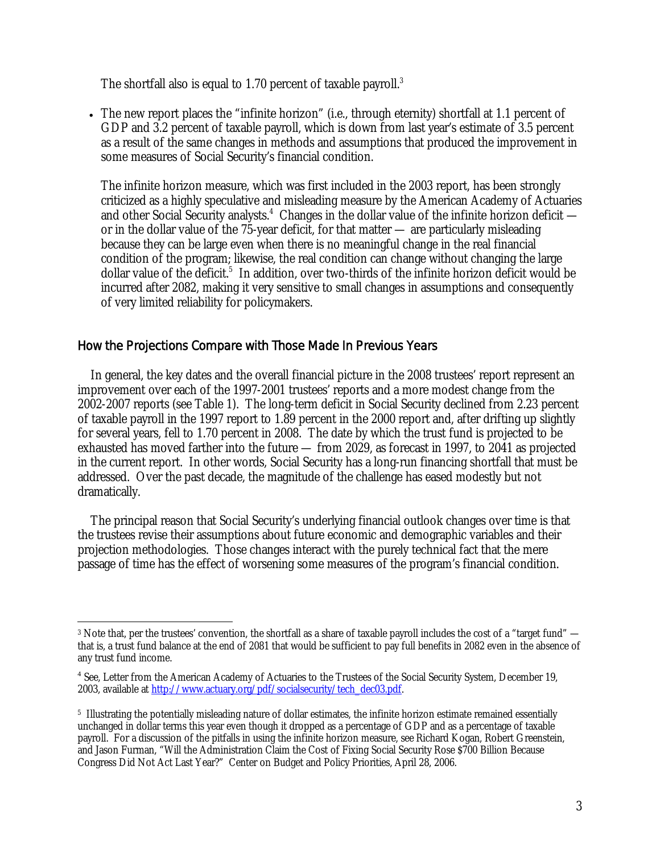The shortfall also is equal to 1.70 percent of taxable payroll. $3$ 

• The new report places the "infinite horizon" (i.e., through eternity) shortfall at 1.1 percent of GDP and 3.2 percent of taxable payroll, which is down from last year's estimate of 3.5 percent as a result of the same changes in methods and assumptions that produced the improvement in some measures of Social Security's financial condition.

The infinite horizon measure, which was first included in the 2003 report, has been strongly criticized as a highly speculative and misleading measure by the American Academy of Actuaries and other Social Security analysts.<sup>4</sup> Changes in the dollar value of the infinite horizon deficit or in the dollar value of the 75-year deficit, for that matter — are particularly misleading because they can be large even when there is no meaningful change in the real financial condition of the program; likewise, the real condition can change without changing the large dollar value of the deficit.<sup>5</sup> In addition, over two-thirds of the infinite horizon deficit would be incurred after 2082, making it very sensitive to small changes in assumptions and consequently of very limited reliability for policymakers.

### How the Projections Compare with Those Made In Previous Years

In general, the key dates and the overall financial picture in the 2008 trustees' report represent an improvement over each of the 1997-2001 trustees' reports and a more modest change from the 2002-2007 reports (see Table 1). The long-term deficit in Social Security declined from 2.23 percent of taxable payroll in the 1997 report to 1.89 percent in the 2000 report and, after drifting up slightly for several years, fell to 1.70 percent in 2008. The date by which the trust fund is projected to be exhausted has moved farther into the future — from 2029, as forecast in 1997, to 2041 as projected in the current report. In other words, Social Security has a long-run financing shortfall that must be addressed. Over the past decade, the magnitude of the challenge has eased modestly but not dramatically.

The principal reason that Social Security's underlying financial outlook changes over time is that the trustees revise their assumptions about future economic and demographic variables and their projection methodologies. Those changes interact with the purely technical fact that the mere passage of time has the effect of worsening some measures of the program's financial condition.

 $\overline{a}$ 3 Note that, per the trustees' convention, the shortfall as a share of taxable payroll includes the cost of a "target fund" that is, a trust fund balance at the end of 2081 that would be sufficient to pay full benefits in 2082 even in the absence of any trust fund income.

<sup>&</sup>lt;sup>4</sup> See, Letter from the American Academy of Actuaries to the Trustees of the Social Security System, December 19, 2003, available at http://www.actuary.org/pdf/socialsecurity/tech\_dec03.pdf.

<sup>5</sup> Illustrating the potentially misleading nature of dollar estimates, the infinite horizon estimate remained essentially unchanged in dollar terms this year even though it dropped as a percentage of GDP and as a percentage of taxable payroll. For a discussion of the pitfalls in using the infinite horizon measure, see Richard Kogan, Robert Greenstein, and Jason Furman, "Will the Administration Claim the Cost of Fixing Social Security Rose \$700 Billion Because Congress Did Not Act Last Year?" Center on Budget and Policy Priorities, April 28, 2006.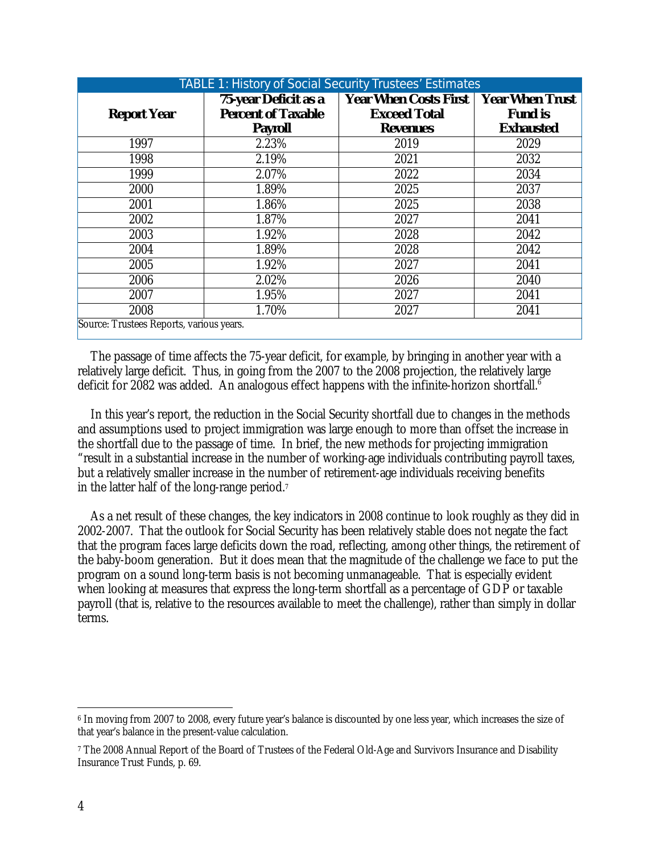| <b>TABLE 1: History of Social Security Trustees' Estimates</b> |                                                   |                                                     |                                          |  |
|----------------------------------------------------------------|---------------------------------------------------|-----------------------------------------------------|------------------------------------------|--|
| <b>Report Year</b>                                             | 75-year Deficit as a<br><b>Percent of Taxable</b> | <b>Year When Costs First</b><br><b>Exceed Total</b> | <b>Year When Trust</b><br><b>Fund is</b> |  |
|                                                                | <b>Payroll</b>                                    | <b>Revenues</b>                                     | <b>Exhausted</b>                         |  |
| 1997                                                           | 2.23%                                             | 2019                                                | 2029                                     |  |
| 1998                                                           | 2.19%                                             | 2021                                                | 2032                                     |  |
| 1999                                                           | 2.07%                                             | 2022                                                | 2034                                     |  |
| 2000                                                           | 1.89%                                             | 2025                                                | 2037                                     |  |
| 2001                                                           | 1.86%                                             | 2025                                                | 2038                                     |  |
| 2002                                                           | 1.87%                                             | 2027                                                | 2041                                     |  |
| 2003                                                           | 1.92%                                             | 2028                                                | 2042                                     |  |
| 2004                                                           | 1.89%                                             | 2028                                                | 2042                                     |  |
| 2005                                                           | 1.92%                                             | 2027                                                | 2041                                     |  |
| 2006                                                           | 2.02%                                             | 2026                                                | 2040                                     |  |
| 2007                                                           | 1.95%                                             | 2027                                                | 2041                                     |  |
| 2008                                                           | 1.70%                                             | 2027                                                | 2041                                     |  |
| Source: Trustees Reports, various years.                       |                                                   |                                                     |                                          |  |

The passage of time affects the 75-year deficit, for example, by bringing in another year with a relatively large deficit. Thus, in going from the 2007 to the 2008 projection, the relatively large deficit for 2082 was added. An analogous effect happens with the infinite-horizon shortfall.<sup>6</sup>

In this year's report, the reduction in the Social Security shortfall due to changes in the methods and assumptions used to project immigration was large enough to more than offset the increase in the shortfall due to the passage of time. In brief, the new methods for projecting immigration "result in a substantial increase in the number of working-age individuals contributing payroll taxes, but a relatively smaller increase in the number of retirement-age individuals receiving benefits in the latter half of the long-range period.7

As a net result of these changes, the key indicators in 2008 continue to look roughly as they did in 2002-2007. That the outlook for Social Security has been relatively stable does not negate the fact that the program faces large deficits down the road, reflecting, among other things, the retirement of the baby-boom generation. But it does mean that the magnitude of the challenge we face to put the program on a sound long-term basis is not becoming unmanageable. That is especially evident when looking at measures that express the long-term shortfall as a percentage of GDP or taxable payroll (that is, relative to the resources available to meet the challenge), rather than simply in dollar terms.

 $\overline{a}$ 6 In moving from 2007 to 2008, every future year's balance is discounted by one less year, which increases the size of that year's balance in the present-value calculation.

<sup>7</sup> The 2008 Annual Report of the Board of Trustees of the Federal Old-Age and Survivors Insurance and Disability Insurance Trust Funds, p. 69.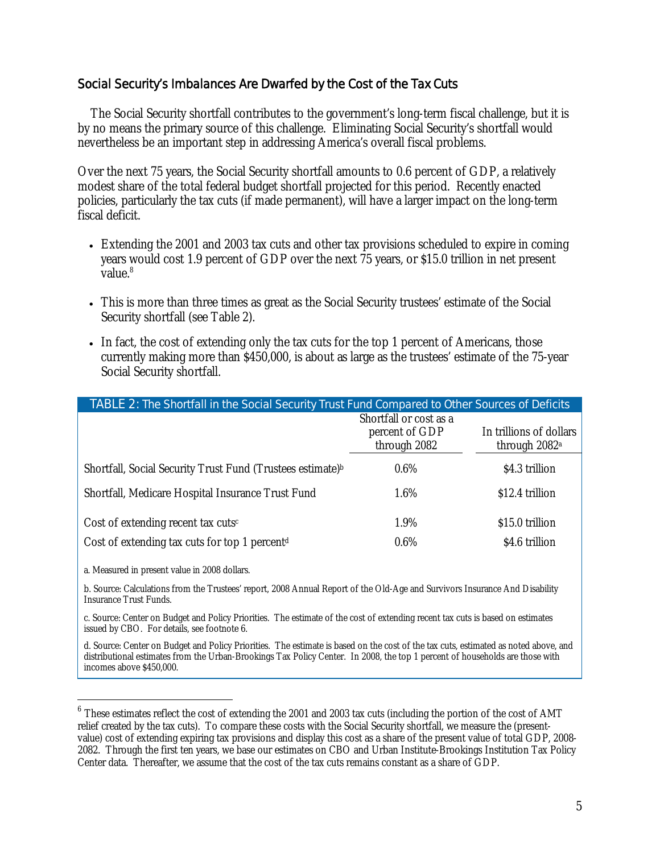## Social Security's Imbalances Are Dwarfed by the Cost of the Tax Cuts

The Social Security shortfall contributes to the government's long-term fiscal challenge, but it is by no means the primary source of this challenge. Eliminating Social Security's shortfall would nevertheless be an important step in addressing America's overall fiscal problems.

Over the next 75 years, the Social Security shortfall amounts to 0.6 percent of GDP, a relatively modest share of the total federal budget shortfall projected for this period. Recently enacted policies, particularly the tax cuts (if made permanent), will have a larger impact on the long-term fiscal deficit.

- Extending the 2001 and 2003 tax cuts and other tax provisions scheduled to expire in coming years would cost 1.9 percent of GDP over the next 75 years, or \$15.0 trillion in net present value.<sup>8</sup>
- This is more than three times as great as the Social Security trustees' estimate of the Social Security shortfall (see Table 2).
- In fact, the cost of extending only the tax cuts for the top 1 percent of Americans, those currently making more than \$450,000, is about as large as the trustees' estimate of the 75-year Social Security shortfall.

| TABLE 2: The Shortfall in the Social Security Trust Fund Compared to Other Sources of Deficits |                                                          |                                                      |  |
|------------------------------------------------------------------------------------------------|----------------------------------------------------------|------------------------------------------------------|--|
|                                                                                                | Shortfall or cost as a<br>percent of GDP<br>through 2082 | In trillions of dollars<br>through 2082 <sup>a</sup> |  |
| Shortfall, Social Security Trust Fund (Trustees estimate) <sup>b</sup>                         | $0.6\%$                                                  | \$4.3 trillion                                       |  |
| Shortfall, Medicare Hospital Insurance Trust Fund                                              | 1.6%                                                     | \$12.4 trillion                                      |  |
| Cost of extending recent tax cuts <sup>c</sup>                                                 | 1.9%                                                     | \$15.0 trillion                                      |  |
| Cost of extending tax cuts for top 1 percent <sup>d</sup>                                      | $0.6\%$                                                  | \$4.6 trillion                                       |  |

a. Measured in present value in 2008 dollars.

 $\overline{a}$ 

b. Source: Calculations from the Trustees' report, 2008 Annual Report of the Old-Age and Survivors Insurance And Disability Insurance Trust Funds.

c. Source: Center on Budget and Policy Priorities. The estimate of the cost of extending recent tax cuts is based on estimates issued by CBO. For details, see footnote 6.

d. Source: Center on Budget and Policy Priorities. The estimate is based on the cost of the tax cuts, estimated as noted above, and distributional estimates from the Urban-Brookings Tax Policy Center. In 2008, the top 1 percent of households are those with incomes above \$450,000.

 $6$  These estimates reflect the cost of extending the 2001 and 2003 tax cuts (including the portion of the cost of AMT relief created by the tax cuts). To compare these costs with the Social Security shortfall, we measure the (presentvalue) cost of extending expiring tax provisions and display this cost as a share of the present value of total GDP, 2008- 2082. Through the first ten years, we base our estimates on CBO and Urban Institute-Brookings Institution Tax Policy Center data. Thereafter, we assume that the cost of the tax cuts remains constant as a share of GDP.